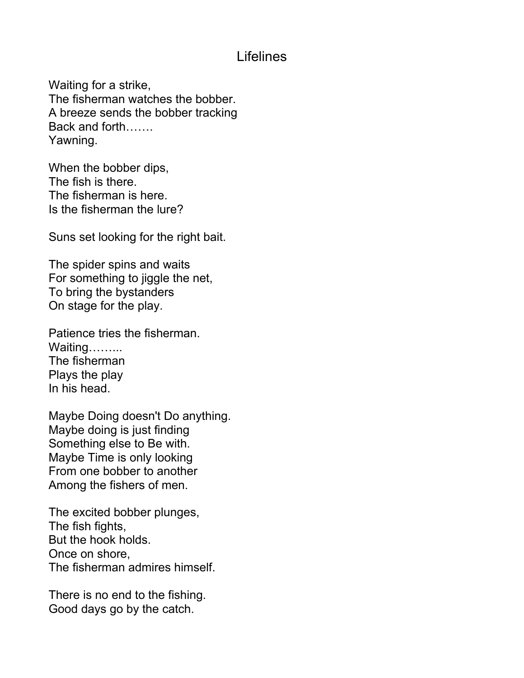## Lifelines

Waiting for a strike, The fisherman watches the bobber. A breeze sends the bobber tracking Back and forth……. Yawning.

When the bobber dips, The fish is there. The fisherman is here. Is the fisherman the lure?

Suns set looking for the right bait.

The spider spins and waits For something to jiggle the net, To bring the bystanders On stage for the play.

Patience tries the fisherman. Waiting……... The fisherman Plays the play In his head.

Maybe Doing doesn't Do anything. Maybe doing is just finding Something else to Be with. Maybe Time is only looking From one bobber to another Among the fishers of men.

The excited bobber plunges, The fish fights, But the hook holds. Once on shore, The fisherman admires himself.

There is no end to the fishing. Good days go by the catch.